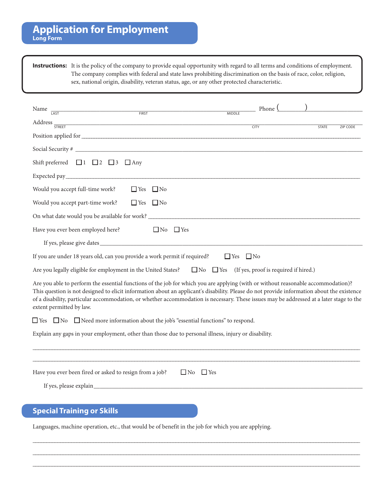**Instructions:** It is the policy of the company to provide equal opportunity with regard to all terms and conditions of employment. The company complies with federal and state laws prohibiting discrimination on the basis of race, color, religion, sex, national origin, disability, veteran status, age, or any other protected characteristic.

| Name<br>FIRST<br>LAST                                                                                                                                                                                                                                                                                                                                                                                                                                  | Phone <sup>(</sup>   |                                 |
|--------------------------------------------------------------------------------------------------------------------------------------------------------------------------------------------------------------------------------------------------------------------------------------------------------------------------------------------------------------------------------------------------------------------------------------------------------|----------------------|---------------------------------|
| Address <del>STREET</del>                                                                                                                                                                                                                                                                                                                                                                                                                              | <b>MIDDLE</b>        |                                 |
|                                                                                                                                                                                                                                                                                                                                                                                                                                                        | <b>CITY</b>          | <b>STATE</b><br><b>ZIP CODE</b> |
|                                                                                                                                                                                                                                                                                                                                                                                                                                                        |                      |                                 |
|                                                                                                                                                                                                                                                                                                                                                                                                                                                        |                      |                                 |
| Shift preferred $\Box$ 1 $\Box$ 2 $\Box$ 3 $\Box$ Any                                                                                                                                                                                                                                                                                                                                                                                                  |                      |                                 |
|                                                                                                                                                                                                                                                                                                                                                                                                                                                        |                      |                                 |
| Would you accept full-time work?<br>$\Box$ Yes $\Box$ No                                                                                                                                                                                                                                                                                                                                                                                               |                      |                                 |
| Would you accept part-time work?<br>$\Box$ Yes<br>$\Box$ No                                                                                                                                                                                                                                                                                                                                                                                            |                      |                                 |
| On what date would you be available for work? ___________________________________                                                                                                                                                                                                                                                                                                                                                                      |                      |                                 |
| Have you ever been employed here?<br>$\Box$ No $\Box$ Yes                                                                                                                                                                                                                                                                                                                                                                                              |                      |                                 |
|                                                                                                                                                                                                                                                                                                                                                                                                                                                        |                      |                                 |
| If you are under 18 years old, can you provide a work permit if required?                                                                                                                                                                                                                                                                                                                                                                              | $\Box$ Yes $\Box$ No |                                 |
| Are you legally eligible for employment in the United States?<br>No I Yes (If yes, proof is required if hired.)                                                                                                                                                                                                                                                                                                                                        |                      |                                 |
| Are you able to perform the essential functions of the job for which you are applying (with or without reasonable accommodation)?<br>This question is not designed to elicit information about an applicant's disability. Please do not provide information about the existence<br>of a disability, particular accommodation, or whether accommodation is necessary. These issues may be addressed at a later stage to the<br>extent permitted by law. |                      |                                 |
| $\Box$ Yes $\Box$ No $\Box$ Need more information about the job's "essential functions" to respond.                                                                                                                                                                                                                                                                                                                                                    |                      |                                 |
| Explain any gaps in your employment, other than those due to personal illness, injury or disability.                                                                                                                                                                                                                                                                                                                                                   |                      |                                 |
| Have you ever been fired or asked to resign from a job? $\square$ No                                                                                                                                                                                                                                                                                                                                                                                   | $\Box$ Yes           |                                 |
|                                                                                                                                                                                                                                                                                                                                                                                                                                                        |                      |                                 |
| <b>Special Training or Skills</b>                                                                                                                                                                                                                                                                                                                                                                                                                      |                      |                                 |
| Languages, machine operation, etc., that would be of benefit in the job for which you are applying.                                                                                                                                                                                                                                                                                                                                                    |                      |                                 |

\_\_\_\_\_\_\_\_\_\_\_\_\_\_\_\_\_\_\_\_\_\_\_\_\_\_\_\_\_\_\_\_\_\_\_\_\_\_\_\_\_\_\_\_\_\_\_\_\_\_\_\_\_\_\_\_\_\_\_\_\_\_\_\_\_\_\_\_\_\_\_\_\_\_\_\_\_\_\_\_\_\_\_\_\_\_\_\_\_\_\_\_\_\_\_\_\_\_\_\_\_\_\_\_\_\_\_\_\_\_\_\_\_\_\_\_\_\_\_ \_\_\_\_\_\_\_\_\_\_\_\_\_\_\_\_\_\_\_\_\_\_\_\_\_\_\_\_\_\_\_\_\_\_\_\_\_\_\_\_\_\_\_\_\_\_\_\_\_\_\_\_\_\_\_\_\_\_\_\_\_\_\_\_\_\_\_\_\_\_\_\_\_\_\_\_\_\_\_\_\_\_\_\_\_\_\_\_\_\_\_\_\_\_\_\_\_\_\_\_\_\_\_\_\_\_\_\_\_\_\_\_\_\_\_\_\_\_\_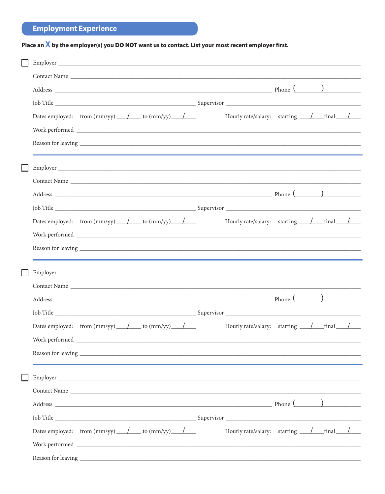## **Employment Experience**

## Place an  $X$  by the employer(s) you DO NOT want us to contact. List your most recent employer first.

| Contact Name                                                            |                                                                |  |
|-------------------------------------------------------------------------|----------------------------------------------------------------|--|
|                                                                         |                                                                |  |
|                                                                         |                                                                |  |
| Dates employed: from $\text{(mm/yy)}$ / to $\text{(mm/yy)}$             | Hourly rate/salary: starting / final /                         |  |
|                                                                         |                                                                |  |
|                                                                         |                                                                |  |
|                                                                         |                                                                |  |
|                                                                         |                                                                |  |
|                                                                         |                                                                |  |
|                                                                         |                                                                |  |
|                                                                         |                                                                |  |
| Dates employed: from $\text{(mm/yy)}$ $\angle$ to $\text{(mm/yy)}$      | Hourly rate/salary: starting / final /                         |  |
|                                                                         |                                                                |  |
|                                                                         |                                                                |  |
|                                                                         |                                                                |  |
|                                                                         |                                                                |  |
|                                                                         |                                                                |  |
|                                                                         |                                                                |  |
|                                                                         |                                                                |  |
| Dates employed: from $\text{(mm/yy)}$ $\bot$ to $\text{(mm/yy)}$ $\bot$ |                                                                |  |
|                                                                         |                                                                |  |
|                                                                         |                                                                |  |
| ${\bf Reason\ for\ leaving\ } \underbrace{\hspace{2cm}}$                |                                                                |  |
|                                                                         |                                                                |  |
|                                                                         |                                                                |  |
|                                                                         |                                                                |  |
|                                                                         |                                                                |  |
|                                                                         |                                                                |  |
| Dates employed: from $\text{(mm/yy)}$ / to $\text{(mm/yy)}$             | Hourly rate/salary: starting $\frac{\ }{}$ final $\frac{\ }{}$ |  |
|                                                                         |                                                                |  |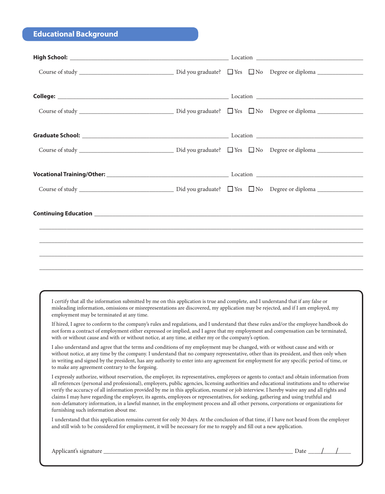## **Educational Background**

I certify that all the information submitted by me on this application is true and complete, and I understand that if any false or misleading information, omissions or misrepresentations are discovered, my application may be rejected, and if I am employed, my employment may be terminated at any time.

If hired, I agree to conform to the company's rules and regulations, and I understand that these rules and/or the employee handbook do not form a contract of employment either expressed or implied, and I agree that my employment and compensation can be terminated, with or without cause and with or without notice, at any time, at either my or the company's option.

I also understand and agree that the terms and conditions of my employment may be changed, with or without cause and with or without notice, at any time by the company. I understand that no company representative, other than its president, and then only when in writing and signed by the president, has any authority to enter into any agreement for employment for any specific period of time, or to make any agreement contrary to the forgoing.

I expressly authorize, without reservation, the employer, its representatives, employees or agents to contact and obtain information from all references (personal and professional), employers, public agencies, licensing authorities and educational institutions and to otherwise verify the accuracy of all information provided by me in this application, resumé or job interview. I hereby waive any and all rights and claims I may have regarding the employer, its agents, employees or representatives, for seeking, gathering and using truthful and non-defamatory information, in a lawful manner, in the employment process and all other persons, corporations or organizations for furnishing such information about me.

I understand that this application remains current for only 30 days. At the conclusion of that time, if I have not heard from the employer and still wish to be considered for employment, it will be necessary for me to reapply and fill out a new application.

| АШ<br>2 X L | - 161 | 1 <sub>0</sub><br>zau<br>-<br>--- |  |  |
|-------------|-------|-----------------------------------|--|--|
|             |       |                                   |  |  |

/ /